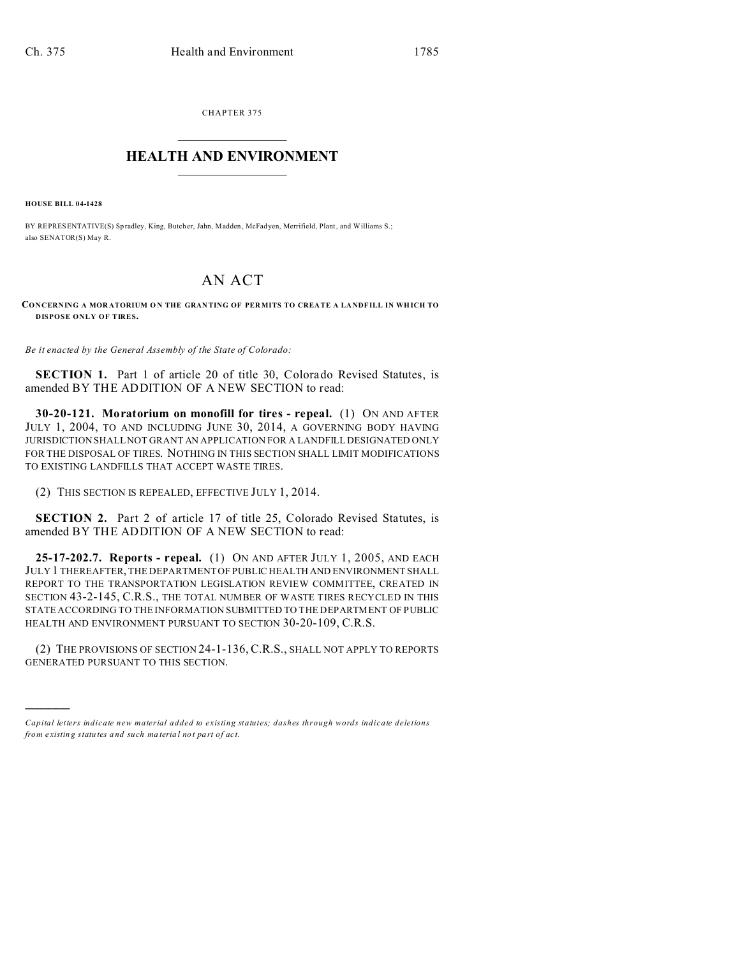CHAPTER 375  $\overline{\phantom{a}}$  , where  $\overline{\phantom{a}}$ 

## **HEALTH AND ENVIRONMENT**  $\_$   $\_$   $\_$   $\_$   $\_$   $\_$   $\_$   $\_$

**HOUSE BILL 04-1428**

)))))

BY REPRESENTATIVE(S) Spradley, King, Butcher, Jahn, Madden, McFad yen, Merrifield, Plant, and Williams S.; also SENATOR(S) May R.

## AN ACT

**CONCERNING A MOR ATORIUM O N THE GRAN TING OF PER MITS TO CREA TE A LA NDFILL IN WHICH TO DISPOSE ONLY OF TIRES.**

*Be it enacted by the General Assembly of the State of Colorado:*

**SECTION 1.** Part 1 of article 20 of title 30, Colorado Revised Statutes, is amended BY THE ADDITION OF A NEW SECTION to read:

**30-20-121. Moratorium on monofill for tires - repeal.** (1) ON AND AFTER JULY 1, 2004, TO AND INCLUDING JUNE 30, 2014, A GOVERNING BODY HAVING JURISDICTION SHALL NOT GRANT AN APPLICATION FOR A LANDFILL DESIGNATED ONLY FOR THE DISPOSAL OF TIRES. NOTHING IN THIS SECTION SHALL LIMIT MODIFICATIONS TO EXISTING LANDFILLS THAT ACCEPT WASTE TIRES.

(2) THIS SECTION IS REPEALED, EFFECTIVE JULY 1, 2014.

**SECTION 2.** Part 2 of article 17 of title 25, Colorado Revised Statutes, is amended BY THE ADDITION OF A NEW SECTION to read:

**25-17-202.7. Reports - repeal.** (1) ON AND AFTER JULY 1, 2005, AND EACH JULY 1 THEREAFTER, THE DEPARTMENT OF PUBLIC HEALTH AND ENVIRONMENT SHALL REPORT TO THE TRANSPORTATION LEGISLATION REVIEW COMMITTEE, CREATED IN SECTION 43-2-145, C.R.S., THE TOTAL NUMBER OF WASTE TIRES RECYCLED IN THIS STATE ACCORDING TO THE INFORMATION SUBMITTED TO THE DEPARTMENT OF PUBLIC HEALTH AND ENVIRONMENT PURSUANT TO SECTION 30-20-109, C.R.S.

(2) THE PROVISIONS OF SECTION 24-1-136, C.R.S., SHALL NOT APPLY TO REPORTS GENERATED PURSUANT TO THIS SECTION.

*Capital letters indicate new material added to existing statutes; dashes through words indicate deletions from e xistin g statu tes a nd such ma teria l no t pa rt of ac t.*